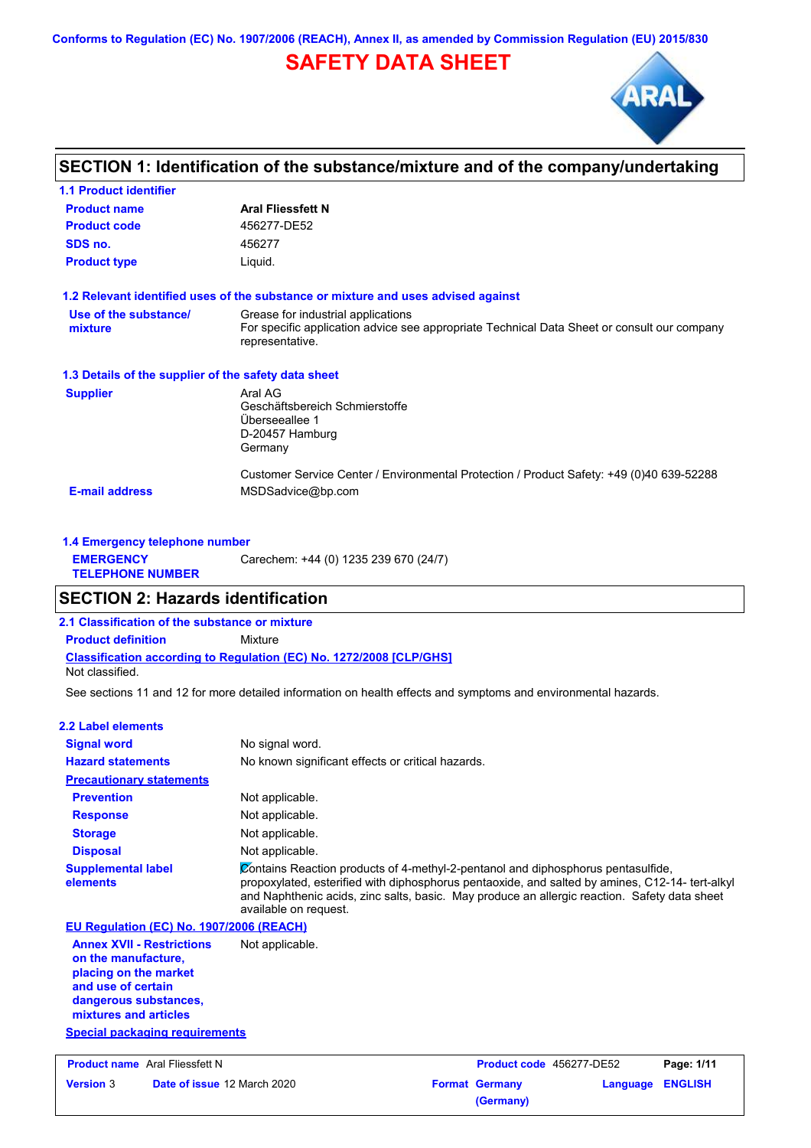**Conforms to Regulation (EC) No. 1907/2006 (REACH), Annex II, as amended by Commission Regulation (EU) 2015/830**

# **SAFETY DATA SHEET**



## **SECTION 1: Identification of the substance/mixture and of the company/undertaking**

| <b>1.1 Product identifier</b>                        |                                                                                                                                                      |
|------------------------------------------------------|------------------------------------------------------------------------------------------------------------------------------------------------------|
| <b>Product name</b>                                  | <b>Aral Fliessfett N</b>                                                                                                                             |
| <b>Product code</b>                                  | 456277-DE52                                                                                                                                          |
| SDS no.                                              | 456277                                                                                                                                               |
| <b>Product type</b>                                  | Liquid.                                                                                                                                              |
|                                                      | 1.2 Relevant identified uses of the substance or mixture and uses advised against                                                                    |
| Use of the substance/<br>mixture                     | Grease for industrial applications<br>For specific application advice see appropriate Technical Data Sheet or consult our company<br>representative. |
| 1.3 Details of the supplier of the safety data sheet |                                                                                                                                                      |
| <b>Supplier</b>                                      | Aral AG<br>Geschäftsbereich Schmierstoffe<br>Überseeallee 1<br>D-20457 Hamburg<br>Germany                                                            |
| <b>E-mail address</b>                                | Customer Service Center / Environmental Protection / Product Safety: +49 (0)40 639-52288<br>MSDSadvice@bp.com                                        |

|                                             | 1.4 Emergency telephone number        |  |  |  |
|---------------------------------------------|---------------------------------------|--|--|--|
| <b>EMERGENCY</b><br><b>TELEPHONE NUMBER</b> | Carechem: +44 (0) 1235 239 670 (24/7) |  |  |  |

## **SECTION 2: Hazards identification**

**2.1 Classification of the substance or mixture**

**Classification according to Regulation (EC) No. 1272/2008 [CLP/GHS] Product definition** Mixture

Not classified.

See sections 11 and 12 for more detailed information on health effects and symptoms and environmental hazards.

#### **2.2 Label elements**

| <b>Signal word</b>                       | No signal word.                                                                                                                                                                                                                                                                                              |
|------------------------------------------|--------------------------------------------------------------------------------------------------------------------------------------------------------------------------------------------------------------------------------------------------------------------------------------------------------------|
| <b>Hazard statements</b>                 | No known significant effects or critical hazards.                                                                                                                                                                                                                                                            |
| <b>Precautionary statements</b>          |                                                                                                                                                                                                                                                                                                              |
| <b>Prevention</b>                        | Not applicable.                                                                                                                                                                                                                                                                                              |
| <b>Response</b>                          | Not applicable.                                                                                                                                                                                                                                                                                              |
| <b>Storage</b>                           | Not applicable.                                                                                                                                                                                                                                                                                              |
| <b>Disposal</b>                          | Not applicable.                                                                                                                                                                                                                                                                                              |
| <b>Supplemental label</b><br>elements    | Contains Reaction products of 4-methyl-2-pentanol and diphosphorus pentasulfide,<br>propoxylated, esterified with diphosphorus pentaoxide, and salted by amines, C12-14- tert-alkyl<br>and Naphthenic acids, zinc salts, basic. May produce an allergic reaction. Safety data sheet<br>available on request. |
| EU Regulation (EC) No. 1907/2006 (REACH) |                                                                                                                                                                                                                                                                                                              |
| <b>Annex XVII - Restrictions</b>         | Not applicable.                                                                                                                                                                                                                                                                                              |

### **on the manufacture, placing on the market and use of certain dangerous substances, mixtures and articles**

**Special packaging requirements**

| <b>Product name</b> Aral Fliessfett N |                                    | <b>Product code</b> 456277-DE52 |                       | Page: 1/11       |  |
|---------------------------------------|------------------------------------|---------------------------------|-----------------------|------------------|--|
| <b>Version 3</b>                      | <b>Date of issue 12 March 2020</b> |                                 | <b>Format Germany</b> | Language ENGLISH |  |
|                                       |                                    |                                 | (Germany)             |                  |  |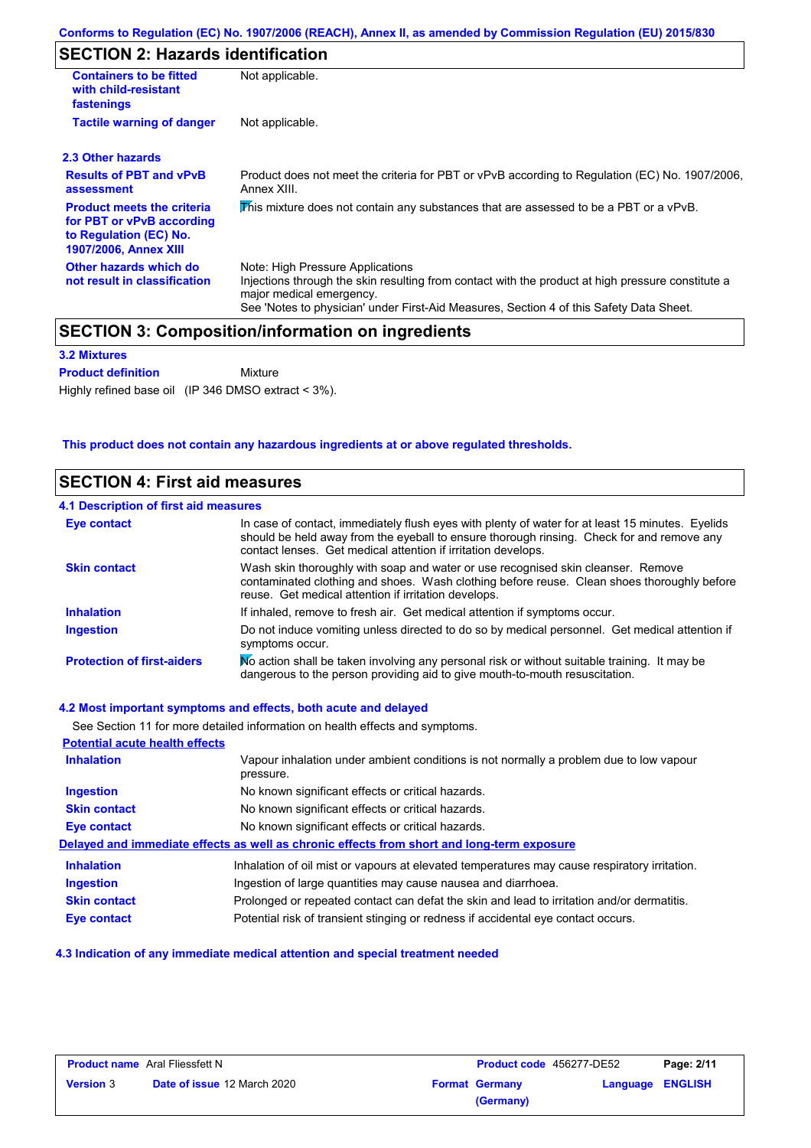## **SECTION 2: Hazards identification**

| <b>Containers to be fitted</b><br>with child-resistant<br>fastenings                                                     | Not applicable.                                                                                                                                                                                                                                              |
|--------------------------------------------------------------------------------------------------------------------------|--------------------------------------------------------------------------------------------------------------------------------------------------------------------------------------------------------------------------------------------------------------|
| <b>Tactile warning of danger</b>                                                                                         | Not applicable.                                                                                                                                                                                                                                              |
| 2.3 Other hazards                                                                                                        |                                                                                                                                                                                                                                                              |
| <b>Results of PBT and vPvB</b><br>assessment                                                                             | Product does not meet the criteria for PBT or vPvB according to Regulation (EC) No. 1907/2006,<br>Annex XIII.                                                                                                                                                |
| <b>Product meets the criteria</b><br>for PBT or vPvB according<br>to Regulation (EC) No.<br><b>1907/2006, Annex XIII</b> | This mixture does not contain any substances that are assessed to be a PBT or a vPvB.                                                                                                                                                                        |
| Other hazards which do<br>not result in classification                                                                   | Note: High Pressure Applications<br>Injections through the skin resulting from contact with the product at high pressure constitute a<br>major medical emergency.<br>See 'Notes to physician' under First-Aid Measures, Section 4 of this Safety Data Sheet. |

#### **3.2 Mixtures**

Mixture **Product definition**

Highly refined base oil (IP 346 DMSO extract < 3%).

### **This product does not contain any hazardous ingredients at or above regulated thresholds.**

| <b>SECTION 4: First aid measures</b><br>4.1 Description of first aid measures |                                                                                                                                                                                                                                        |  |
|-------------------------------------------------------------------------------|----------------------------------------------------------------------------------------------------------------------------------------------------------------------------------------------------------------------------------------|--|
|                                                                               |                                                                                                                                                                                                                                        |  |
| <b>Skin contact</b>                                                           | Wash skin thoroughly with soap and water or use recognised skin cleanser. Remove<br>contaminated clothing and shoes. Wash clothing before reuse. Clean shoes thoroughly before<br>reuse. Get medical attention if irritation develops. |  |
| <b>Inhalation</b>                                                             | If inhaled, remove to fresh air. Get medical attention if symptoms occur.                                                                                                                                                              |  |
| <b>Ingestion</b>                                                              | Do not induce vomiting unless directed to do so by medical personnel. Get medical attention if<br>symptoms occur.                                                                                                                      |  |
| <b>Protection of first-aiders</b>                                             | No action shall be taken involving any personal risk or without suitable training. It may be<br>dangerous to the person providing aid to give mouth-to-mouth resuscitation.                                                            |  |

### **4.2 Most important symptoms and effects, both acute and delayed**

See Section 11 for more detailed information on health effects and symptoms.

| <b>Potential acute health effects</b> |                                                                                                     |
|---------------------------------------|-----------------------------------------------------------------------------------------------------|
| <b>Inhalation</b>                     | Vapour inhalation under ambient conditions is not normally a problem due to low vapour<br>pressure. |
| <b>Ingestion</b>                      | No known significant effects or critical hazards.                                                   |
| <b>Skin contact</b>                   | No known significant effects or critical hazards.                                                   |
| Eye contact                           | No known significant effects or critical hazards.                                                   |
|                                       | Delayed and immediate effects as well as chronic effects from short and long-term exposure          |
| <b>Inhalation</b>                     | Inhalation of oil mist or vapours at elevated temperatures may cause respiratory irritation.        |
| Ingestion                             | Ingestion of large quantities may cause nausea and diarrhoea.                                       |
| <b>Skin contact</b>                   | Prolonged or repeated contact can defat the skin and lead to irritation and/or dermatitis.          |
| Eye contact                           | Potential risk of transient stinging or redness if accidental eye contact occurs.                   |

### **4.3 Indication of any immediate medical attention and special treatment needed**

| <b>Product name</b> Aral Fliessfett N |                                    | <b>Product code</b> 456277-DE52 |                       | Page: 2/11       |  |
|---------------------------------------|------------------------------------|---------------------------------|-----------------------|------------------|--|
| <b>Version 3</b>                      | <b>Date of issue 12 March 2020</b> |                                 | <b>Format Germany</b> | Language ENGLISH |  |
|                                       |                                    |                                 | (Germany)             |                  |  |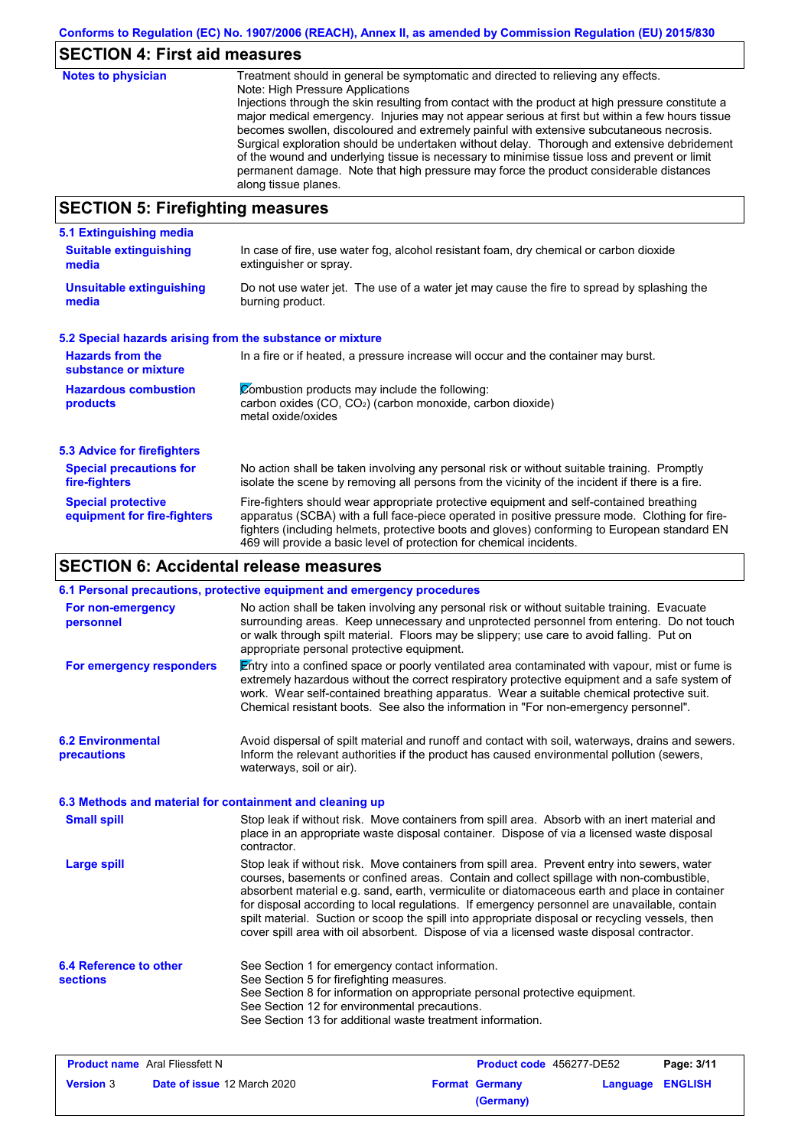| Conforms to Regulation (EC) No. 1907/2006 (REACH), Annex II, as amended by Commission Regulation (EU) 2015/830 |
|----------------------------------------------------------------------------------------------------------------|
|----------------------------------------------------------------------------------------------------------------|

## **SECTION 4: First aid measures**

| <b>Notes to physician</b>               | Treatment should in general be symptomatic and directed to relieving any effects.<br>Note: High Pressure Applications<br>Injections through the skin resulting from contact with the product at high pressure constitute a<br>major medical emergency. Injuries may not appear serious at first but within a few hours tissue<br>becomes swollen, discoloured and extremely painful with extensive subcutaneous necrosis.<br>Surgical exploration should be undertaken without delay. Thorough and extensive debridement<br>of the wound and underlying tissue is necessary to minimise tissue loss and prevent or limit<br>permanent damage. Note that high pressure may force the product considerable distances<br>along tissue planes. |
|-----------------------------------------|--------------------------------------------------------------------------------------------------------------------------------------------------------------------------------------------------------------------------------------------------------------------------------------------------------------------------------------------------------------------------------------------------------------------------------------------------------------------------------------------------------------------------------------------------------------------------------------------------------------------------------------------------------------------------------------------------------------------------------------------|
| <b>SECTION 5: Firefighting measures</b> |                                                                                                                                                                                                                                                                                                                                                                                                                                                                                                                                                                                                                                                                                                                                            |

#### No action shall be taken involving any personal risk or without suitable training. Promptly isolate the scene by removing all persons from the vicinity of the incident if there is a fire. **Hazardous combustion products Hazards from the substance or mixture Zombustion products may include the following:** carbon oxides (CO, CO2) (carbon monoxide, carbon dioxide) metal oxide/oxides In a fire or if heated, a pressure increase will occur and the container may burst. Fire-fighters should wear appropriate protective equipment and self-contained breathing apparatus (SCBA) with a full face-piece operated in positive pressure mode. Clothing for firefighters (including helmets, protective boots and gloves) conforming to European standard EN **Special protective equipment for fire-fighters** In case of fire, use water fog, alcohol resistant foam, dry chemical or carbon dioxide extinguisher or spray. **5.1 Extinguishing media** Do not use water jet. The use of a water jet may cause the fire to spread by splashing the burning product. **Suitable extinguishing media Unsuitable extinguishing media 5.2 Special hazards arising from the substance or mixture 5.3 Advice for firefighters Special precautions for fire-fighters**

469 will provide a basic level of protection for chemical incidents.

## **SECTION 6: Accidental release measures**

|                                                          | 6.1 Personal precautions, protective equipment and emergency procedures                                                                                                                                                                                                                                                                                                                                                                                                                                                                                                                   |
|----------------------------------------------------------|-------------------------------------------------------------------------------------------------------------------------------------------------------------------------------------------------------------------------------------------------------------------------------------------------------------------------------------------------------------------------------------------------------------------------------------------------------------------------------------------------------------------------------------------------------------------------------------------|
| For non-emergency<br>personnel                           | No action shall be taken involving any personal risk or without suitable training. Evacuate<br>surrounding areas. Keep unnecessary and unprotected personnel from entering. Do not touch<br>or walk through spilt material. Floors may be slippery; use care to avoid falling. Put on<br>appropriate personal protective equipment.                                                                                                                                                                                                                                                       |
| For emergency responders                                 | $\mathbb E$ ntry into a confined space or poorly ventilated area contaminated with vapour, mist or fume is<br>extremely hazardous without the correct respiratory protective equipment and a safe system of<br>work. Wear self-contained breathing apparatus. Wear a suitable chemical protective suit.<br>Chemical resistant boots. See also the information in "For non-emergency personnel".                                                                                                                                                                                           |
| <b>6.2 Environmental</b><br>precautions                  | Avoid dispersal of spilt material and runoff and contact with soil, waterways, drains and sewers.<br>Inform the relevant authorities if the product has caused environmental pollution (sewers,<br>waterways, soil or air).                                                                                                                                                                                                                                                                                                                                                               |
| 6.3 Methods and material for containment and cleaning up |                                                                                                                                                                                                                                                                                                                                                                                                                                                                                                                                                                                           |
| <b>Small spill</b>                                       | Stop leak if without risk. Move containers from spill area. Absorb with an inert material and<br>place in an appropriate waste disposal container. Dispose of via a licensed waste disposal<br>contractor.                                                                                                                                                                                                                                                                                                                                                                                |
| <b>Large spill</b>                                       | Stop leak if without risk. Move containers from spill area. Prevent entry into sewers, water<br>courses, basements or confined areas. Contain and collect spillage with non-combustible,<br>absorbent material e.g. sand, earth, vermiculite or diatomaceous earth and place in container<br>for disposal according to local regulations. If emergency personnel are unavailable, contain<br>spilt material. Suction or scoop the spill into appropriate disposal or recycling vessels, then<br>cover spill area with oil absorbent. Dispose of via a licensed waste disposal contractor. |
| 6.4 Reference to other<br><b>sections</b>                | See Section 1 for emergency contact information.<br>See Section 5 for firefighting measures.<br>See Section 8 for information on appropriate personal protective equipment.<br>See Section 12 for environmental precautions.<br>See Section 13 for additional waste treatment information.                                                                                                                                                                                                                                                                                                |

| <b>Product name</b> Aral Fliessfett N |                                    | <b>Product code</b> 456277-DE52 |                       | Page: 3/11       |  |
|---------------------------------------|------------------------------------|---------------------------------|-----------------------|------------------|--|
| <b>Version</b> 3                      | <b>Date of issue 12 March 2020</b> |                                 | <b>Format Germany</b> | Language ENGLISH |  |
|                                       |                                    |                                 | (Germany)             |                  |  |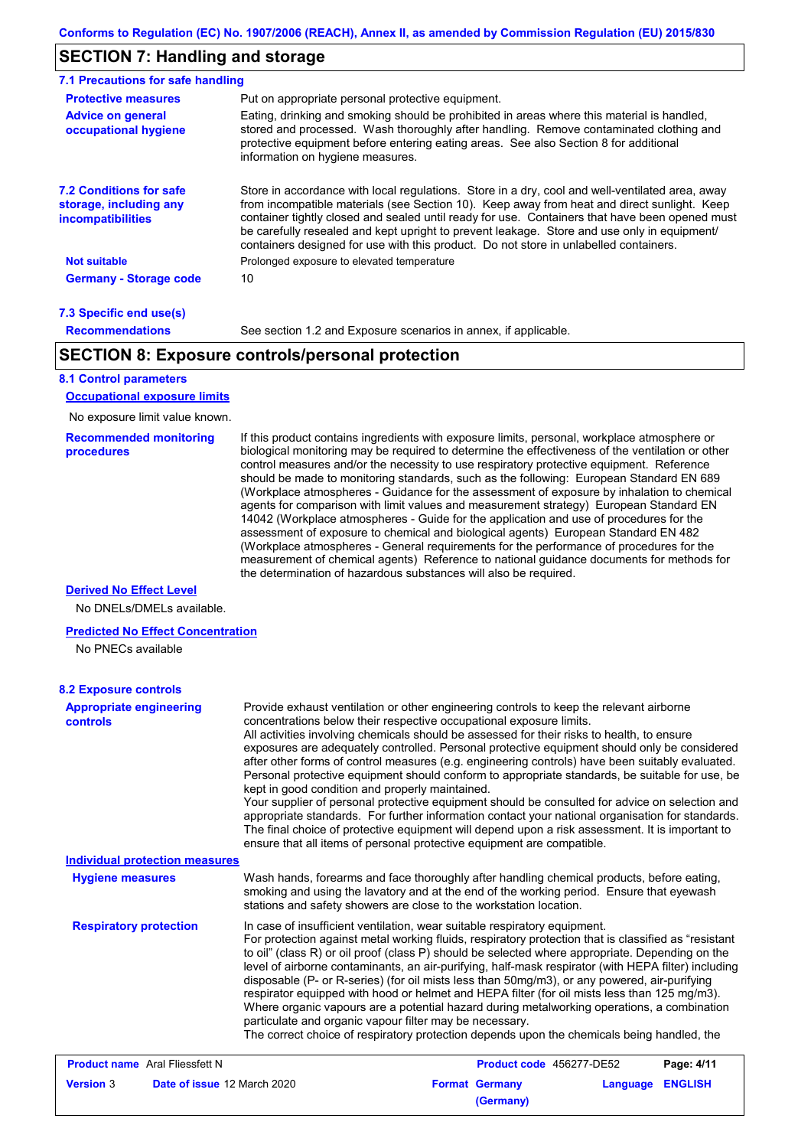## **SECTION 7: Handling and storage**

| <b>Protective measures</b>                                                           | Put on appropriate personal protective equipment.                                                                                                                                                                                                                                                                                                                                                                                                                                        |
|--------------------------------------------------------------------------------------|------------------------------------------------------------------------------------------------------------------------------------------------------------------------------------------------------------------------------------------------------------------------------------------------------------------------------------------------------------------------------------------------------------------------------------------------------------------------------------------|
| <b>Advice on general</b><br>occupational hygiene                                     | Eating, drinking and smoking should be prohibited in areas where this material is handled.<br>stored and processed. Wash thoroughly after handling. Remove contaminated clothing and<br>protective equipment before entering eating areas. See also Section 8 for additional<br>information on hygiene measures.                                                                                                                                                                         |
| <b>7.2 Conditions for safe</b><br>storage, including any<br><i>incompatibilities</i> | Store in accordance with local regulations. Store in a dry, cool and well-ventilated area, away<br>from incompatible materials (see Section 10). Keep away from heat and direct sunlight. Keep<br>container tightly closed and sealed until ready for use. Containers that have been opened must<br>be carefully resealed and kept upright to prevent leakage. Store and use only in equipment/<br>containers designed for use with this product. Do not store in unlabelled containers. |
| <b>Not suitable</b>                                                                  | Prolonged exposure to elevated temperature                                                                                                                                                                                                                                                                                                                                                                                                                                               |
| <b>Germany - Storage code</b>                                                        | 10                                                                                                                                                                                                                                                                                                                                                                                                                                                                                       |

#### **7.3 Specific end use(s) Recommendations**

See section 1.2 and Exposure scenarios in annex, if applicable.

## **SECTION 8: Exposure controls/personal protection**

### **8.1 Control parameters**

**Occupational exposure limits**

No exposure limit value known.

#### **Recommended monitoring procedures**

If this product contains ingredients with exposure limits, personal, workplace atmosphere or biological monitoring may be required to determine the effectiveness of the ventilation or other control measures and/or the necessity to use respiratory protective equipment. Reference should be made to monitoring standards, such as the following: European Standard EN 689 (Workplace atmospheres - Guidance for the assessment of exposure by inhalation to chemical agents for comparison with limit values and measurement strategy) European Standard EN 14042 (Workplace atmospheres - Guide for the application and use of procedures for the assessment of exposure to chemical and biological agents) European Standard EN 482 (Workplace atmospheres - General requirements for the performance of procedures for the measurement of chemical agents) Reference to national guidance documents for methods for the determination of hazardous substances will also be required.

**(Germany)**

#### **Derived No Effect Level**

No DNELs/DMELs available.

#### **Predicted No Effect Concentration**

No PNECs available

| <b>8.2 Exposure controls</b>                      |                                                                                                                                                                                                                                                                                                                                                                                                                                                                                                                                                                                                                                                                                                                                                                                                                                                                                                                                                                                                         |                          |          |                |
|---------------------------------------------------|---------------------------------------------------------------------------------------------------------------------------------------------------------------------------------------------------------------------------------------------------------------------------------------------------------------------------------------------------------------------------------------------------------------------------------------------------------------------------------------------------------------------------------------------------------------------------------------------------------------------------------------------------------------------------------------------------------------------------------------------------------------------------------------------------------------------------------------------------------------------------------------------------------------------------------------------------------------------------------------------------------|--------------------------|----------|----------------|
| <b>Appropriate engineering</b><br><b>controls</b> | Provide exhaust ventilation or other engineering controls to keep the relevant airborne<br>concentrations below their respective occupational exposure limits.<br>All activities involving chemicals should be assessed for their risks to health, to ensure<br>exposures are adequately controlled. Personal protective equipment should only be considered<br>after other forms of control measures (e.g. engineering controls) have been suitably evaluated.<br>Personal protective equipment should conform to appropriate standards, be suitable for use, be<br>kept in good condition and properly maintained.<br>Your supplier of personal protective equipment should be consulted for advice on selection and<br>appropriate standards. For further information contact your national organisation for standards.<br>The final choice of protective equipment will depend upon a risk assessment. It is important to<br>ensure that all items of personal protective equipment are compatible. |                          |          |                |
| <b>Individual protection measures</b>             |                                                                                                                                                                                                                                                                                                                                                                                                                                                                                                                                                                                                                                                                                                                                                                                                                                                                                                                                                                                                         |                          |          |                |
| <b>Hygiene measures</b>                           | Wash hands, forearms and face thoroughly after handling chemical products, before eating,<br>smoking and using the lavatory and at the end of the working period. Ensure that eyewash<br>stations and safety showers are close to the workstation location.                                                                                                                                                                                                                                                                                                                                                                                                                                                                                                                                                                                                                                                                                                                                             |                          |          |                |
| <b>Respiratory protection</b>                     | In case of insufficient ventilation, wear suitable respiratory equipment.<br>For protection against metal working fluids, respiratory protection that is classified as "resistant<br>to oil" (class R) or oil proof (class P) should be selected where appropriate. Depending on the<br>level of airborne contaminants, an air-purifying, half-mask respirator (with HEPA filter) including<br>disposable (P- or R-series) (for oil mists less than 50mg/m3), or any powered, air-purifying<br>respirator equipped with hood or helmet and HEPA filter (for oil mists less than 125 mg/m3).<br>Where organic vapours are a potential hazard during metalworking operations, a combination<br>particulate and organic vapour filter may be necessary.<br>The correct choice of respiratory protection depends upon the chemicals being handled, the                                                                                                                                                      |                          |          |                |
| <b>Product name</b> Aral Fliessfett N             |                                                                                                                                                                                                                                                                                                                                                                                                                                                                                                                                                                                                                                                                                                                                                                                                                                                                                                                                                                                                         | Product code 456277-DE52 |          | Page: 4/11     |
| Date of issue 12 March 2020<br><b>Version 3</b>   |                                                                                                                                                                                                                                                                                                                                                                                                                                                                                                                                                                                                                                                                                                                                                                                                                                                                                                                                                                                                         | <b>Format Germany</b>    | Language | <b>ENGLISH</b> |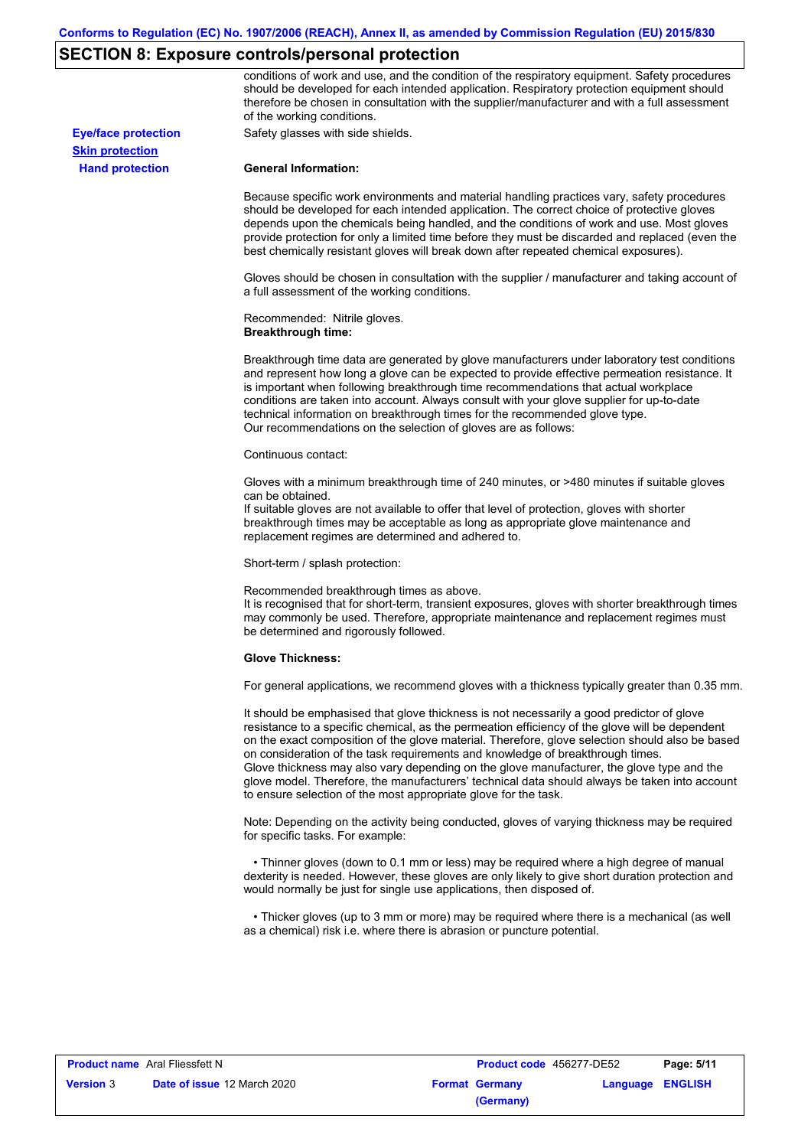### **SECTION 8: Exposure controls/personal protection**

conditions of work and use, and the condition of the respiratory equipment. Safety procedures should be developed for each intended application. Respiratory protection equipment should therefore be chosen in consultation with the supplier/manufacturer and with a full assessment of the working conditions.

**Eye/face protection** Safety glasses with side shields.

**Hand protection Skin protection**

#### **General Information:**

Because specific work environments and material handling practices vary, safety procedures should be developed for each intended application. The correct choice of protective gloves depends upon the chemicals being handled, and the conditions of work and use. Most gloves provide protection for only a limited time before they must be discarded and replaced (even the best chemically resistant gloves will break down after repeated chemical exposures).

Gloves should be chosen in consultation with the supplier / manufacturer and taking account of a full assessment of the working conditions.

Recommended: Nitrile gloves. **Breakthrough time:**

Breakthrough time data are generated by glove manufacturers under laboratory test conditions and represent how long a glove can be expected to provide effective permeation resistance. It is important when following breakthrough time recommendations that actual workplace conditions are taken into account. Always consult with your glove supplier for up-to-date technical information on breakthrough times for the recommended glove type. Our recommendations on the selection of gloves are as follows:

Continuous contact:

Gloves with a minimum breakthrough time of 240 minutes, or >480 minutes if suitable gloves can be obtained.

If suitable gloves are not available to offer that level of protection, gloves with shorter breakthrough times may be acceptable as long as appropriate glove maintenance and replacement regimes are determined and adhered to.

Short-term / splash protection:

Recommended breakthrough times as above.

It is recognised that for short-term, transient exposures, gloves with shorter breakthrough times may commonly be used. Therefore, appropriate maintenance and replacement regimes must be determined and rigorously followed.

#### **Glove Thickness:**

For general applications, we recommend gloves with a thickness typically greater than 0.35 mm.

It should be emphasised that glove thickness is not necessarily a good predictor of glove resistance to a specific chemical, as the permeation efficiency of the glove will be dependent on the exact composition of the glove material. Therefore, glove selection should also be based on consideration of the task requirements and knowledge of breakthrough times. Glove thickness may also vary depending on the glove manufacturer, the glove type and the glove model. Therefore, the manufacturers' technical data should always be taken into account to ensure selection of the most appropriate glove for the task.

Note: Depending on the activity being conducted, gloves of varying thickness may be required for specific tasks. For example:

 • Thinner gloves (down to 0.1 mm or less) may be required where a high degree of manual dexterity is needed. However, these gloves are only likely to give short duration protection and would normally be just for single use applications, then disposed of.

 • Thicker gloves (up to 3 mm or more) may be required where there is a mechanical (as well as a chemical) risk i.e. where there is abrasion or puncture potential.

|                  | <b>Product name</b> Aral Fliessfett N |  | <b>Product code</b> 456277-DE52 |                  | Page: 5/11 |  |
|------------------|---------------------------------------|--|---------------------------------|------------------|------------|--|
| <b>Version</b> 3 | <b>Date of issue 12 March 2020</b>    |  | <b>Format Germany</b>           | Language ENGLISH |            |  |
|                  |                                       |  | (Germany)                       |                  |            |  |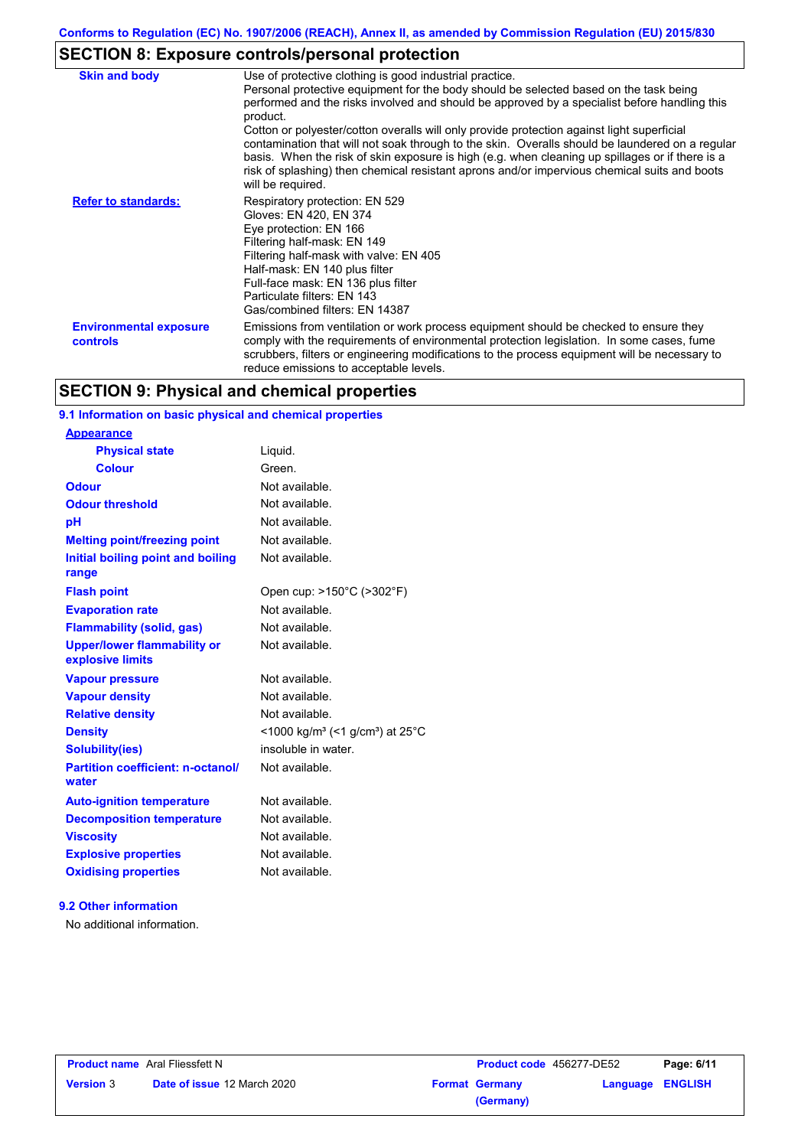# **SECTION 8: Exposure controls/personal protection**

| <b>Skin and body</b>                             | Use of protective clothing is good industrial practice.<br>Personal protective equipment for the body should be selected based on the task being<br>performed and the risks involved and should be approved by a specialist before handling this<br>product.<br>Cotton or polyester/cotton overalls will only provide protection against light superficial<br>contamination that will not soak through to the skin. Overalls should be laundered on a regular<br>basis. When the risk of skin exposure is high (e.g. when cleaning up spillages or if there is a<br>risk of splashing) then chemical resistant aprons and/or impervious chemical suits and boots<br>will be required. |
|--------------------------------------------------|---------------------------------------------------------------------------------------------------------------------------------------------------------------------------------------------------------------------------------------------------------------------------------------------------------------------------------------------------------------------------------------------------------------------------------------------------------------------------------------------------------------------------------------------------------------------------------------------------------------------------------------------------------------------------------------|
| <b>Refer to standards:</b>                       | Respiratory protection: EN 529<br>Gloves: EN 420, EN 374<br>Eye protection: EN 166<br>Filtering half-mask: EN 149<br>Filtering half-mask with valve: EN 405<br>Half-mask: EN 140 plus filter<br>Full-face mask: EN 136 plus filter<br>Particulate filters: EN 143<br>Gas/combined filters: EN 14387                                                                                                                                                                                                                                                                                                                                                                                   |
| <b>Environmental exposure</b><br><b>controls</b> | Emissions from ventilation or work process equipment should be checked to ensure they<br>comply with the requirements of environmental protection legislation. In some cases, fume<br>scrubbers, filters or engineering modifications to the process equipment will be necessary to<br>reduce emissions to acceptable levels.                                                                                                                                                                                                                                                                                                                                                         |

## **SECTION 9: Physical and chemical properties**

### **9.1 Information on basic physical and chemical properties**

| <b>Appearance</b>                                      |                                                                         |
|--------------------------------------------------------|-------------------------------------------------------------------------|
| <b>Physical state</b>                                  | Liquid.                                                                 |
| <b>Colour</b>                                          | Green.                                                                  |
| <b>Odour</b>                                           | Not available.                                                          |
| <b>Odour threshold</b>                                 | Not available.                                                          |
| рH                                                     | Not available.                                                          |
| <b>Melting point/freezing point</b>                    | Not available.                                                          |
| Initial boiling point and boiling<br>range             | Not available.                                                          |
| <b>Flash point</b>                                     | Open cup: >150°C (>302°F)                                               |
| <b>Evaporation rate</b>                                | Not available.                                                          |
| <b>Flammability (solid, gas)</b>                       | Not available.                                                          |
| <b>Upper/lower flammability or</b><br>explosive limits | Not available.                                                          |
| <b>Vapour pressure</b>                                 | Not available.                                                          |
| <b>Vapour density</b>                                  | Not available.                                                          |
| <b>Relative density</b>                                | Not available.                                                          |
| <b>Density</b>                                         | $<$ 1000 kg/m <sup>3</sup> (<1 g/cm <sup>3</sup> ) at 25 <sup>°</sup> C |
| Solubility(ies)                                        | insoluble in water.                                                     |
| <b>Partition coefficient: n-octanol/</b><br>water      | Not available.                                                          |
| <b>Auto-ignition temperature</b>                       | Not available.                                                          |
| <b>Decomposition temperature</b>                       | Not available.                                                          |
| <b>Viscosity</b>                                       | Not available.                                                          |
| <b>Explosive properties</b>                            | Not available.                                                          |
| <b>Oxidising properties</b>                            | Not available.                                                          |
|                                                        |                                                                         |

### **9.2 Other information**

No additional information.

| <b>Product name</b> Aral Fliessfett N |                                    | <b>Product code</b> 456277-DE52 |                                    | Page: 6/11              |  |
|---------------------------------------|------------------------------------|---------------------------------|------------------------------------|-------------------------|--|
| <b>Version 3</b>                      | <b>Date of issue 12 March 2020</b> |                                 | <b>Format Germany</b><br>(Germany) | <b>Language ENGLISH</b> |  |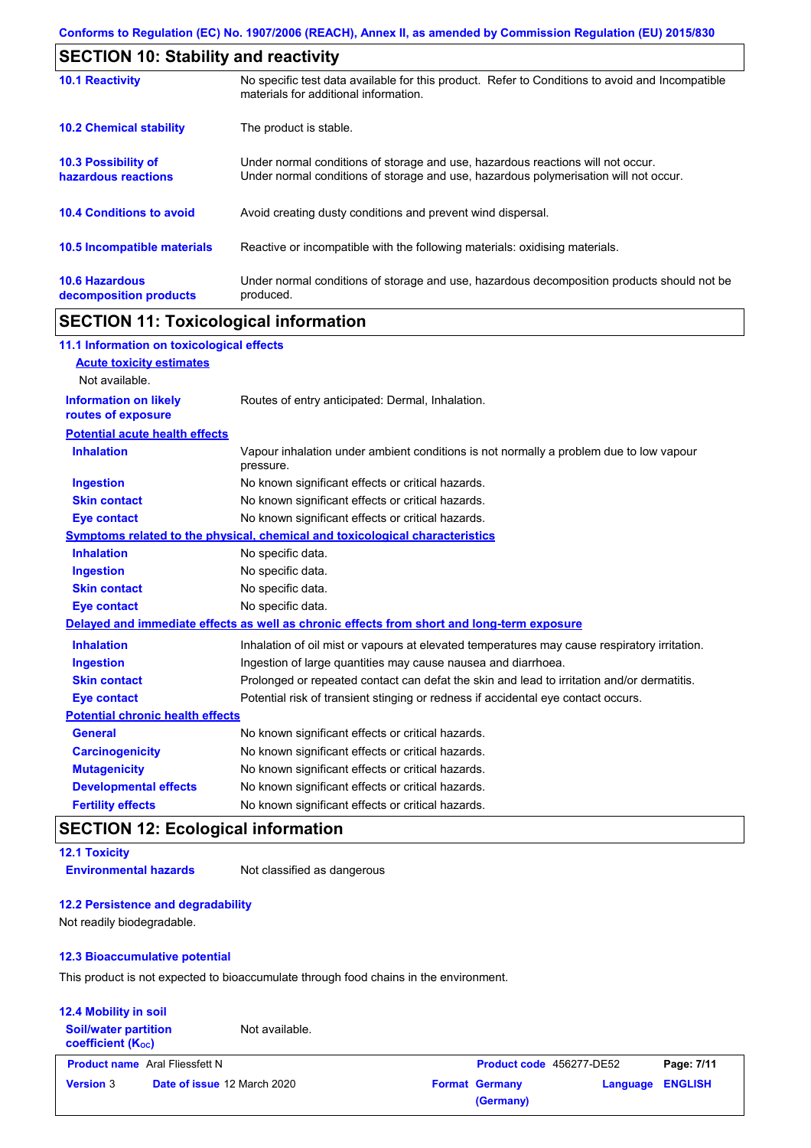| <b>SECTION 10: Stability and reactivity</b>       |                                                                                                                                                                         |  |  |
|---------------------------------------------------|-------------------------------------------------------------------------------------------------------------------------------------------------------------------------|--|--|
| <b>10.1 Reactivity</b>                            | No specific test data available for this product. Refer to Conditions to avoid and Incompatible<br>materials for additional information.                                |  |  |
| <b>10.2 Chemical stability</b>                    | The product is stable.                                                                                                                                                  |  |  |
| <b>10.3 Possibility of</b><br>hazardous reactions | Under normal conditions of storage and use, hazardous reactions will not occur.<br>Under normal conditions of storage and use, hazardous polymerisation will not occur. |  |  |
| <b>10.4 Conditions to avoid</b>                   | Avoid creating dusty conditions and prevent wind dispersal.                                                                                                             |  |  |
| <b>10.5 Incompatible materials</b>                | Reactive or incompatible with the following materials: oxidising materials.                                                                                             |  |  |
| <b>10.6 Hazardous</b><br>decomposition products   | Under normal conditions of storage and use, hazardous decomposition products should not be<br>produced.                                                                 |  |  |

## **SECTION 11: Toxicological information**

| 11.1 Information on toxicological effects          |                                                                                                     |
|----------------------------------------------------|-----------------------------------------------------------------------------------------------------|
| <b>Acute toxicity estimates</b>                    |                                                                                                     |
| Not available.                                     |                                                                                                     |
| <b>Information on likely</b><br>routes of exposure | Routes of entry anticipated: Dermal, Inhalation.                                                    |
| <b>Potential acute health effects</b>              |                                                                                                     |
| <b>Inhalation</b>                                  | Vapour inhalation under ambient conditions is not normally a problem due to low vapour<br>pressure. |
| <b>Ingestion</b>                                   | No known significant effects or critical hazards.                                                   |
| <b>Skin contact</b>                                | No known significant effects or critical hazards.                                                   |
| <b>Eye contact</b>                                 | No known significant effects or critical hazards.                                                   |
|                                                    | <b>Symptoms related to the physical, chemical and toxicological characteristics</b>                 |
| <b>Inhalation</b>                                  | No specific data.                                                                                   |
| <b>Ingestion</b>                                   | No specific data.                                                                                   |
| <b>Skin contact</b>                                | No specific data.                                                                                   |
| <b>Eye contact</b>                                 | No specific data.                                                                                   |
|                                                    | Delayed and immediate effects as well as chronic effects from short and long-term exposure          |
| <b>Inhalation</b>                                  | Inhalation of oil mist or vapours at elevated temperatures may cause respiratory irritation.        |
| <b>Ingestion</b>                                   | Ingestion of large quantities may cause nausea and diarrhoea.                                       |
| <b>Skin contact</b>                                | Prolonged or repeated contact can defat the skin and lead to irritation and/or dermatitis.          |
| <b>Eye contact</b>                                 | Potential risk of transient stinging or redness if accidental eye contact occurs.                   |
| <b>Potential chronic health effects</b>            |                                                                                                     |
| <b>General</b>                                     | No known significant effects or critical hazards.                                                   |
| <b>Carcinogenicity</b>                             | No known significant effects or critical hazards.                                                   |
| <b>Mutagenicity</b>                                | No known significant effects or critical hazards.                                                   |
| <b>Developmental effects</b>                       | No known significant effects or critical hazards.                                                   |
| <b>Fertility effects</b>                           | No known significant effects or critical hazards.                                                   |

## **SECTION 12: Ecological information**

### **12.1 Toxicity Environmental hazards** Not classified as dangerous

### **12.2 Persistence and degradability**

Not readily biodegradable.

#### **12.3 Bioaccumulative potential**

This product is not expected to bioaccumulate through food chains in the environment.

## **12.4 Mobility in soil**

**Soil/water partition coefficient (KOC)**

Not available.

| <b>Format Germany</b> |           | Language ENGLISH |
|-----------------------|-----------|------------------|
|                       | (Germany) |                  |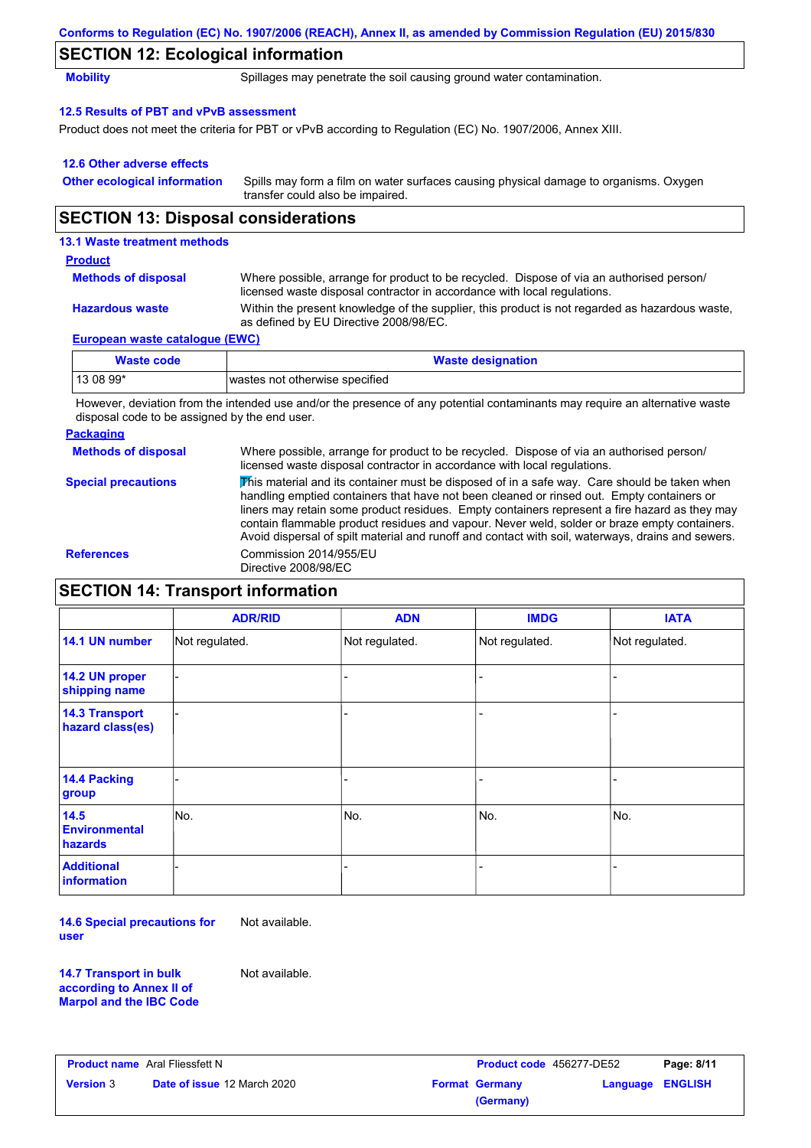|                                            | Conforms to Regulation (EC) No. 1907/2006 (REACH), Annex II, as amended by Commission Regulation (EU) 2015/830                                                       |  |  |  |  |
|--------------------------------------------|----------------------------------------------------------------------------------------------------------------------------------------------------------------------|--|--|--|--|
| <b>SECTION 12: Ecological information</b>  |                                                                                                                                                                      |  |  |  |  |
| <b>Mobility</b>                            | Spillages may penetrate the soil causing ground water contamination.                                                                                                 |  |  |  |  |
| 12.5 Results of PBT and vPvB assessment    |                                                                                                                                                                      |  |  |  |  |
|                                            | Product does not meet the criteria for PBT or vPvB according to Regulation (EC) No. 1907/2006, Annex XIII.                                                           |  |  |  |  |
| 12.6 Other adverse effects                 |                                                                                                                                                                      |  |  |  |  |
| <b>Other ecological information</b>        | Spills may form a film on water surfaces causing physical damage to organisms. Oxygen<br>transfer could also be impaired.                                            |  |  |  |  |
| <b>SECTION 13: Disposal considerations</b> |                                                                                                                                                                      |  |  |  |  |
| 13.1 Waste treatment methods               |                                                                                                                                                                      |  |  |  |  |
| <b>Product</b>                             |                                                                                                                                                                      |  |  |  |  |
| <b>Methods of disposal</b>                 | Where possible, arrange for product to be recycled. Dispose of via an authorised person/<br>licensed waste disposal contractor in accordance with local regulations. |  |  |  |  |
| <b>Hazardous waste</b>                     | Within the present knowledge of the supplier, this product is not regarded as hazardous waste,                                                                       |  |  |  |  |

### **European waste catalogue (EWC)**

| Waste code | <b>Waste designation</b>       |
|------------|--------------------------------|
| 13 08 99*  | wastes not otherwise specified |

as defined by EU Directive 2008/98/EC.

However, deviation from the intended use and/or the presence of any potential contaminants may require an alternative waste disposal code to be assigned by the end user.

#### **Packaging Methods of disposal Special precautions** Where possible, arrange for product to be recycled. Dispose of via an authorised person/ licensed waste disposal contractor in accordance with local regulations. This material and its container must be disposed of in a safe way. Care should be taken when handling emptied containers that have not been cleaned or rinsed out. Empty containers or liners may retain some product residues. Empty containers represent a fire hazard as they may contain flammable product residues and vapour. Never weld, solder or braze empty containers. Avoid dispersal of spilt material and runoff and contact with soil, waterways, drains and sewers. **References** Commission 2014/955/EU Directive 2008/98/EC

## **SECTION 14: Transport information**

|                                           | <b>ADR/RID</b> | <b>ADN</b>     | <b>IMDG</b>    | <b>IATA</b>    |
|-------------------------------------------|----------------|----------------|----------------|----------------|
| 14.1 UN number                            | Not regulated. | Not regulated. | Not regulated. | Not regulated. |
| 14.2 UN proper<br>shipping name           |                |                | -              |                |
| <b>14.3 Transport</b><br>hazard class(es) |                |                | -              |                |
| 14.4 Packing<br>group                     |                |                |                |                |
| 14.5<br><b>Environmental</b><br>hazards   | No.            | No.            | No.            | No.            |
| <b>Additional</b><br><b>information</b>   |                |                |                |                |

**14.6 Special precautions for user** Not available.

**14.7 Transport in bulk according to Annex II of Marpol and the IBC Code** Not available.

**Product name** Aral Fliessfett N **Version** 3 **Product code** 456277-DE52 **Page: 8/11 Date of issue** 12 March 2020 **Format Germany Language ENGLISH (Germany)**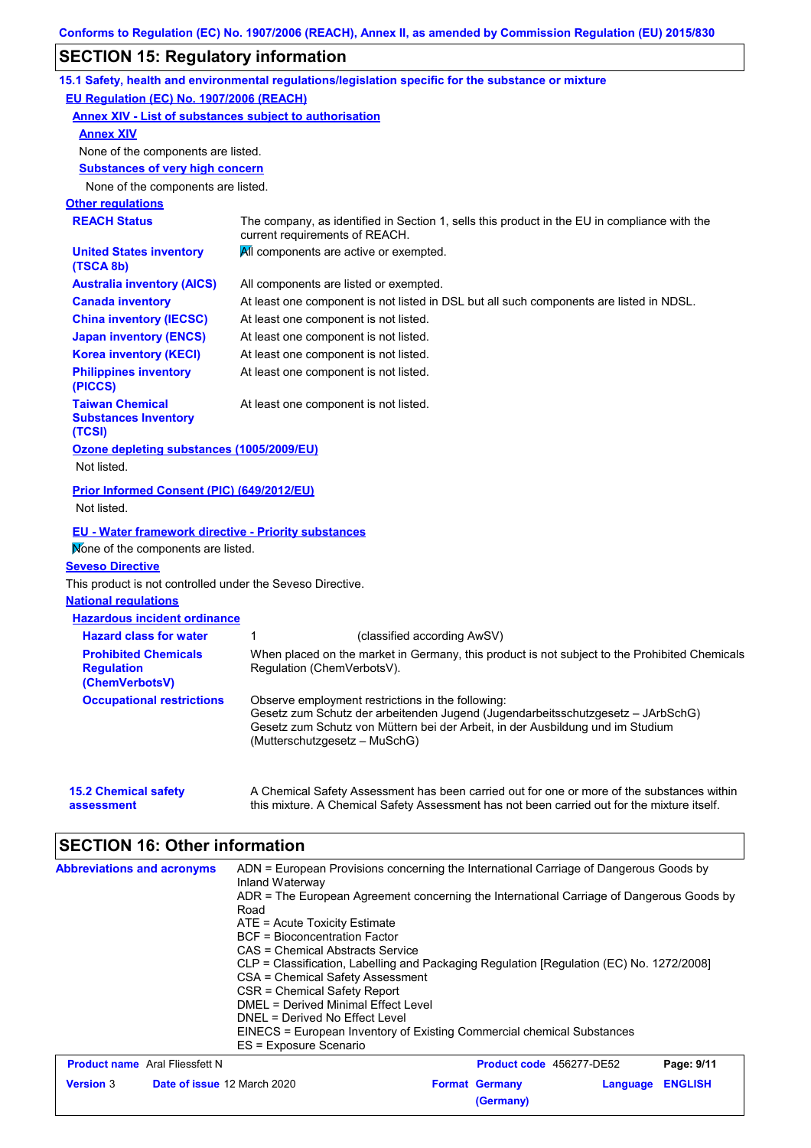# **SECTION 15: Regulatory information**

|                                                                    | 15.1 Safety, health and environmental regulations/legislation specific for the substance or mixture                                                                                                                                                     |  |  |  |
|--------------------------------------------------------------------|---------------------------------------------------------------------------------------------------------------------------------------------------------------------------------------------------------------------------------------------------------|--|--|--|
| EU Regulation (EC) No. 1907/2006 (REACH)                           |                                                                                                                                                                                                                                                         |  |  |  |
| <b>Annex XIV - List of substances subject to authorisation</b>     |                                                                                                                                                                                                                                                         |  |  |  |
| <b>Annex XIV</b>                                                   |                                                                                                                                                                                                                                                         |  |  |  |
| None of the components are listed.                                 |                                                                                                                                                                                                                                                         |  |  |  |
| <b>Substances of very high concern</b>                             |                                                                                                                                                                                                                                                         |  |  |  |
| None of the components are listed.                                 |                                                                                                                                                                                                                                                         |  |  |  |
| <b>Other regulations</b>                                           |                                                                                                                                                                                                                                                         |  |  |  |
| <b>REACH Status</b>                                                | The company, as identified in Section 1, sells this product in the EU in compliance with the<br>current requirements of REACH.                                                                                                                          |  |  |  |
| <b>United States inventory</b><br>(TSCA 8b)                        | All components are active or exempted.                                                                                                                                                                                                                  |  |  |  |
| <b>Australia inventory (AICS)</b>                                  | All components are listed or exempted.                                                                                                                                                                                                                  |  |  |  |
| <b>Canada inventory</b>                                            | At least one component is not listed in DSL but all such components are listed in NDSL.                                                                                                                                                                 |  |  |  |
| <b>China inventory (IECSC)</b>                                     | At least one component is not listed.                                                                                                                                                                                                                   |  |  |  |
| <b>Japan inventory (ENCS)</b>                                      | At least one component is not listed.                                                                                                                                                                                                                   |  |  |  |
| <b>Korea inventory (KECI)</b>                                      | At least one component is not listed.                                                                                                                                                                                                                   |  |  |  |
| <b>Philippines inventory</b><br>(PICCS)                            | At least one component is not listed.                                                                                                                                                                                                                   |  |  |  |
| <b>Taiwan Chemical</b><br><b>Substances Inventory</b><br>(TCSI)    | At least one component is not listed.                                                                                                                                                                                                                   |  |  |  |
| Ozone depleting substances (1005/2009/EU)<br>Not listed.           |                                                                                                                                                                                                                                                         |  |  |  |
| Prior Informed Consent (PIC) (649/2012/EU)<br>Not listed.          |                                                                                                                                                                                                                                                         |  |  |  |
| <b>EU - Water framework directive - Priority substances</b>        |                                                                                                                                                                                                                                                         |  |  |  |
| Mone of the components are listed.                                 |                                                                                                                                                                                                                                                         |  |  |  |
| <b>Seveso Directive</b>                                            |                                                                                                                                                                                                                                                         |  |  |  |
| This product is not controlled under the Seveso Directive.         |                                                                                                                                                                                                                                                         |  |  |  |
| <b>National regulations</b>                                        |                                                                                                                                                                                                                                                         |  |  |  |
| <b>Hazardous incident ordinance</b>                                |                                                                                                                                                                                                                                                         |  |  |  |
| <b>Hazard class for water</b>                                      | 1<br>(classified according AwSV)                                                                                                                                                                                                                        |  |  |  |
| <b>Prohibited Chemicals</b><br><b>Regulation</b><br>(ChemVerbotsV) | When placed on the market in Germany, this product is not subject to the Prohibited Chemicals<br>Regulation (ChemVerbotsV).                                                                                                                             |  |  |  |
| <b>Occupational restrictions</b>                                   | Observe employment restrictions in the following:<br>Gesetz zum Schutz der arbeitenden Jugend (Jugendarbeitsschutzgesetz - JArbSchG)<br>Gesetz zum Schutz von Müttern bei der Arbeit, in der Ausbildung und im Studium<br>(Mutterschutzgesetz – MuSchG) |  |  |  |
| <b>15.2 Chemical safety</b><br>assessment                          | A Chemical Safety Assessment has been carried out for one or more of the substances within<br>this mixture. A Chemical Safety Assessment has not been carried out for the mixture itself.                                                               |  |  |  |
| <b>SECTION 16: Other information</b>                               |                                                                                                                                                                                                                                                         |  |  |  |
| <b>Abbreviations and acronyms</b>                                  | ADN = European Provisions concerning the International Carriage of Dangerous Goods by                                                                                                                                                                   |  |  |  |

| <b>ADDITIONALISTS</b> AND ACTOMOTIVE            | Inland Waterway<br>Road<br>ATE = Acute Toxicity Estimate<br>BCF = Bioconcentration Factor<br>CAS = Chemical Abstracts Service<br>CLP = Classification, Labelling and Packaging Regulation [Regulation (EC) No. 1272/2008]<br>CSA = Chemical Safety Assessment<br>CSR = Chemical Safety Report<br>DMEL = Derived Minimal Effect Level<br>DNEL = Derived No Effect Level | ADIN – European Frovisions concerning the international Carnage of Dangerous Goods by<br>ADR = The European Agreement concerning the International Carriage of Dangerous Goods by |                                    |          |                |
|-------------------------------------------------|------------------------------------------------------------------------------------------------------------------------------------------------------------------------------------------------------------------------------------------------------------------------------------------------------------------------------------------------------------------------|-----------------------------------------------------------------------------------------------------------------------------------------------------------------------------------|------------------------------------|----------|----------------|
|                                                 | EINECS = European Inventory of Existing Commercial chemical Substances<br>ES = Exposure Scenario                                                                                                                                                                                                                                                                       |                                                                                                                                                                                   |                                    |          |                |
| <b>Product name</b> Aral Fliessfett N           |                                                                                                                                                                                                                                                                                                                                                                        |                                                                                                                                                                                   | Product code 456277-DE52           |          | Page: 9/11     |
| <b>Version 3</b><br>Date of issue 12 March 2020 |                                                                                                                                                                                                                                                                                                                                                                        |                                                                                                                                                                                   | <b>Format Germany</b><br>(Germany) | Language | <b>ENGLISH</b> |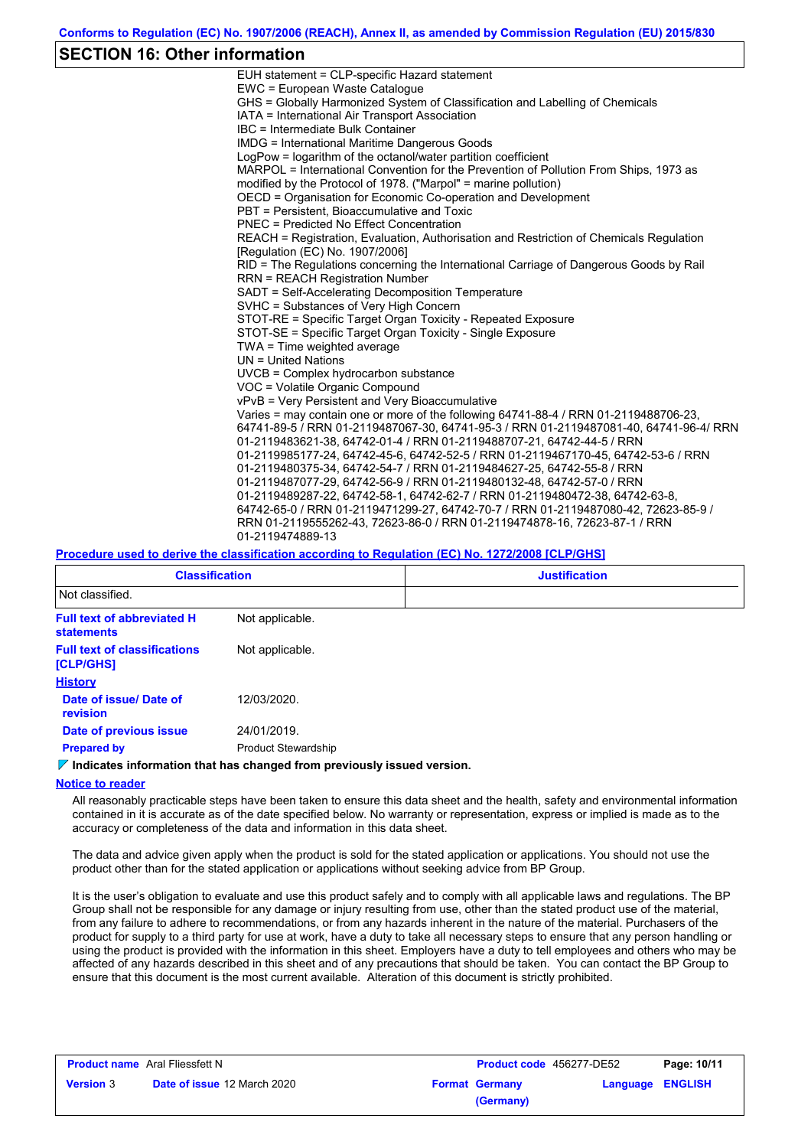## **SECTION 16: Other information**

| EUH statement = CLP-specific Hazard statement                                                                              |
|----------------------------------------------------------------------------------------------------------------------------|
| EWC = European Waste Catalogue                                                                                             |
| GHS = Globally Harmonized System of Classification and Labelling of Chemicals                                              |
| IATA = International Air Transport Association                                                                             |
| IBC = Intermediate Bulk Container                                                                                          |
| IMDG = International Maritime Dangerous Goods                                                                              |
| LogPow = logarithm of the octanol/water partition coefficient                                                              |
| MARPOL = International Convention for the Prevention of Pollution From Ships, 1973 as                                      |
| modified by the Protocol of 1978. ("Marpol" = marine pollution)                                                            |
| OECD = Organisation for Economic Co-operation and Development                                                              |
| PBT = Persistent, Bioaccumulative and Toxic                                                                                |
| <b>PNEC = Predicted No Effect Concentration</b>                                                                            |
| REACH = Registration, Evaluation, Authorisation and Restriction of Chemicals Regulation<br>[Regulation (EC) No. 1907/2006] |
| RID = The Regulations concerning the International Carriage of Dangerous Goods by Rail                                     |
| <b>RRN = REACH Registration Number</b>                                                                                     |
| SADT = Self-Accelerating Decomposition Temperature                                                                         |
| SVHC = Substances of Very High Concern                                                                                     |
| STOT-RE = Specific Target Organ Toxicity - Repeated Exposure                                                               |
| STOT-SE = Specific Target Organ Toxicity - Single Exposure                                                                 |
| TWA = Time weighted average                                                                                                |
| $UN = United Nations$                                                                                                      |
| $UVCB = Complex\;hydrocarbon\; substance$                                                                                  |
| VOC = Volatile Organic Compound                                                                                            |
| vPvB = Very Persistent and Very Bioaccumulative                                                                            |
| Varies = may contain one or more of the following 64741-88-4 / RRN 01-2119488706-23,                                       |
| 64741-89-5 / RRN 01-2119487067-30, 64741-95-3 / RRN 01-2119487081-40, 64741-96-4/ RRN                                      |
| 01-2119483621-38, 64742-01-4 / RRN 01-2119488707-21, 64742-44-5 / RRN                                                      |
| 01-2119985177-24, 64742-45-6, 64742-52-5 / RRN 01-2119467170-45, 64742-53-6 / RRN                                          |
| 01-2119480375-34, 64742-54-7 / RRN 01-2119484627-25, 64742-55-8 / RRN                                                      |
| 01-2119487077-29, 64742-56-9 / RRN 01-2119480132-48, 64742-57-0 / RRN                                                      |
| 01-2119489287-22, 64742-58-1, 64742-62-7 / RRN 01-2119480472-38, 64742-63-8,                                               |
| 64742-65-0 / RRN 01-2119471299-27, 64742-70-7 / RRN 01-2119487080-42, 72623-85-9 /                                         |
| RRN 01-2119555262-43, 72623-86-0 / RRN 01-2119474878-16, 72623-87-1 / RRN                                                  |
| 01-2119474889-13                                                                                                           |
|                                                                                                                            |

#### **Procedure used to derive the classification according to Regulation (EC) No. 1272/2008 [CLP/GHS]**

| <b>Classification</b>                                  |                            | <b>Justification</b> |  |  |  |  |
|--------------------------------------------------------|----------------------------|----------------------|--|--|--|--|
| Not classified.                                        |                            |                      |  |  |  |  |
| <b>Full text of abbreviated H</b><br><b>statements</b> | Not applicable.            |                      |  |  |  |  |
| <b>Full text of classifications</b><br>[CLP/GHS]       | Not applicable.            |                      |  |  |  |  |
| <b>History</b>                                         |                            |                      |  |  |  |  |
| Date of issue/Date of<br>revision                      | 12/03/2020.                |                      |  |  |  |  |
| Date of previous issue                                 | 24/01/2019.                |                      |  |  |  |  |
| <b>Prepared by</b>                                     | <b>Product Stewardship</b> |                      |  |  |  |  |

#### **Indicates information that has changed from previously issued version.**

#### **Notice to reader**

All reasonably practicable steps have been taken to ensure this data sheet and the health, safety and environmental information contained in it is accurate as of the date specified below. No warranty or representation, express or implied is made as to the accuracy or completeness of the data and information in this data sheet.

The data and advice given apply when the product is sold for the stated application or applications. You should not use the product other than for the stated application or applications without seeking advice from BP Group.

It is the user's obligation to evaluate and use this product safely and to comply with all applicable laws and regulations. The BP Group shall not be responsible for any damage or injury resulting from use, other than the stated product use of the material, from any failure to adhere to recommendations, or from any hazards inherent in the nature of the material. Purchasers of the product for supply to a third party for use at work, have a duty to take all necessary steps to ensure that any person handling or using the product is provided with the information in this sheet. Employers have a duty to tell employees and others who may be affected of any hazards described in this sheet and of any precautions that should be taken. You can contact the BP Group to ensure that this document is the most current available. Alteration of this document is strictly prohibited.

| <b>Product name</b> Aral Fliessfett N |                                    | <b>Product code</b> 456277-DE52 |                       | Page: 10/11      |  |
|---------------------------------------|------------------------------------|---------------------------------|-----------------------|------------------|--|
| <b>Version 3</b>                      | <b>Date of issue 12 March 2020</b> |                                 | <b>Format Germany</b> | Language ENGLISH |  |
|                                       |                                    |                                 | (Germany)             |                  |  |